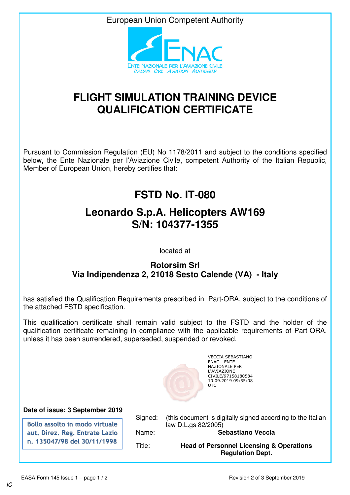European Union Competent Authority



## **FLIGHT SIMULATION TRAINING DEVICE QUALIFICATION CERTIFICATE**

Pursuant to Commission Regulation (EU) No 1178/2011 and subject to the conditions specified below, the Ente Nazionale per l'Aviazione Civile, competent Authority of the Italian Republic, Member of European Union, hereby certifies that:

## **FSTD No. IT-080**

## **Leonardo S.p.A. Helicopters AW169 S/N: 104377-1355**

located at

## **Rotorsim Srl Via Indipendenza 2, 21018 Sesto Calende (VA) - Italy**

has satisfied the Qualification Requirements prescribed in Part-ORA, subject to the conditions of the attached FSTD specification.

This qualification certificate shall remain valid subject to the FSTD and the holder of the qualification certificate remaining in compliance with the applicable requirements of Part-ORA, unless it has been surrendered, superseded, suspended or revoked.



VECCIA SEBASTIANO ENAC - ENTE NAZIONALE PER L'AVIAZIONE CIVILE/97158180584 10.09.2019 09:55:08 **UTC** 

**Date of issue: 3 September 2019**

**Bollo assolto in modo virtuale aut. Direz. Reg. Entrate Lazio n. 135047/98 del 30/11/1998**

Signed: (this document is digitally signed according to the Italian law D.L.gs 82/2005)

Name: **Sebastiano Veccia**

Title: **Head of Personnel Licensing & Operations Regulation Dept.**